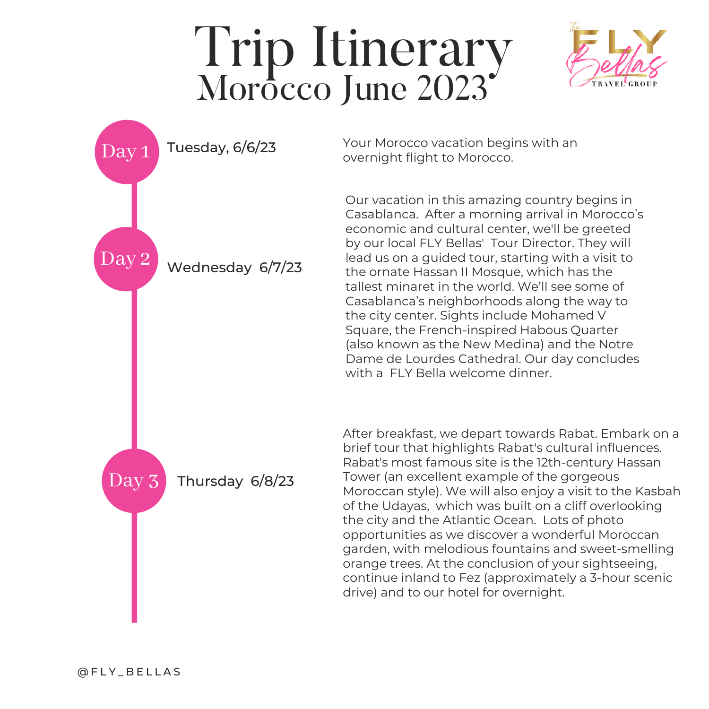## Trip Itinerary Morôcco June 2023





Your Morocco vacation begins with an overnight flight to Morocco.

Our vacation in this amazing country begins in Casablanca. After a morning arrival in Morocco's economic and cultural center, we'll be greeted by our local FLY Bellas' Tour Director. They will lead us on a guided tour, starting with a visit to the ornate Hassan II Mosque, which has the tallest minaret in the world. We'll see some of Casablanca's neighborhoods along the way to the city center. Sights include Mohamed V Square, the French-inspired Habous Quarter (also known as the New Medina) and the Notre Dame de Lourdes Cathedral. Our day concludes with a FLY Bella welcome dinner.

After breakfast, we depart towards Rabat. Embark on a brief tour that highlights Rabat's cultural influences. Rabat's most famous site is the 12th-century Hassan Tower (an excellent example of the gorgeous Moroccan style). We will also enjoy a visit to the Kasbah of the Udayas, which was built on a cliff overlooking the city and the Atlantic Ocean. Lots of photo opportunities as we discover a wonderful Moroccan garden, with melodious fountains and sweet-smelling orange trees. At the conclusion of your sightseeing, continue inland to Fez (approximately a 3-hour scenic drive) and to our hotel for overnight.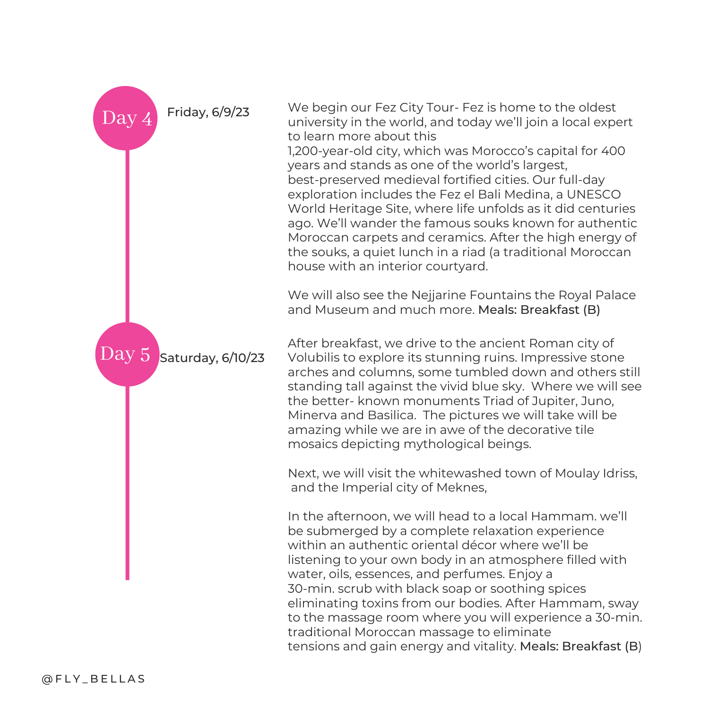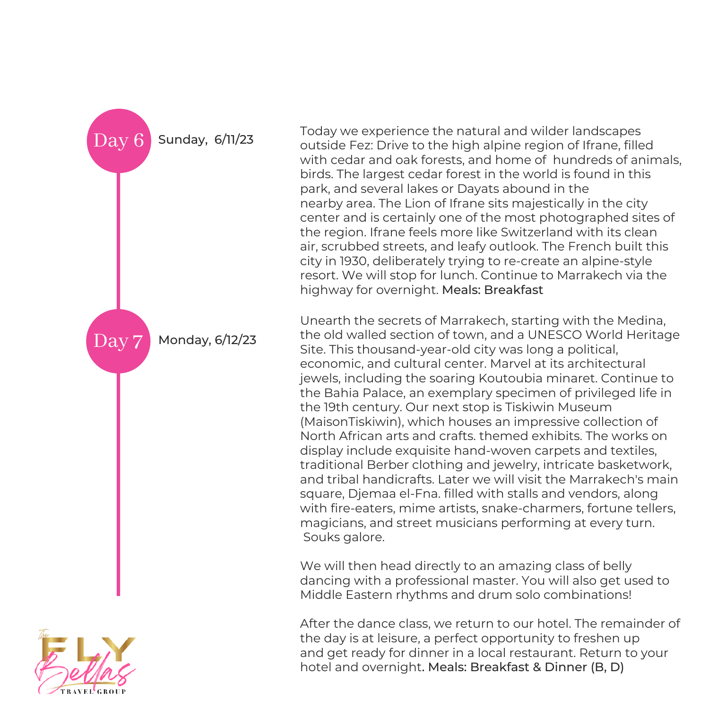

Today we experience the natural and wilder landscapes outside Fez: Drive to the high alpine region of Ifrane, filled with cedar and oak forests, and home of hundreds of animals, birds. The largest cedar forest in the world is found in this park, and several lakes or Dayats abound in the nearby area. The Lion of Ifrane sits majestically in the city center and is certainly one of the most photographed sites of the region. Ifrane feels more like Switzerland with its clean air, scrubbed streets, and leafy outlook. The French built this city in 1930, deliberately trying to re-create an alpine-style resort. We will stop for lunch. Continue to Marrakech via the highway for overnight. Meals: Breakfast

Unearth the secrets of Marrakech, starting with the Medina, the old walled section of town, and a UNESCO World Heritage Site. This thousand-year-old city was long a political, economic, and cultural center. Marvel at its architectural jewels, including the soaring Koutoubia minaret. Continue to the Bahia Palace, an exemplary specimen of privileged life in the 19th century. Our next stop is Tiskiwin Museum (MaisonTiskiwin), which houses an impressive collection of North African arts and crafts. themed exhibits. The works on display include exquisite hand-woven carpets and textiles, traditional Berber clothing and jewelry, intricate basketwork, and tribal handicrafts. Later we will visit the Marrakech's main square, Djemaa el-Fna. filled with stalls and vendors, along with fire-eaters, mime artists, snake-charmers, fortune tellers, magicians, and street musicians performing at every turn. Souks galore.

We will then head directly to an amazing class of belly dancing with a professional master. You will also get used to Middle Eastern rhythms and drum solo combinations!

After the dance class, we return to our hotel. The remainder of the day is at leisure, a perfect opportunity to freshen up and get ready for dinner in a local restaurant. Return to your hotel and overnight. Meals: Breakfast & Dinner (B, D)